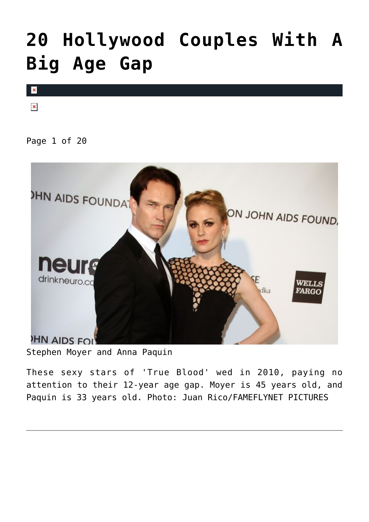# **[20 Hollywood Couples With A](https://cupidspulse.com/99294/hollywood-couples-age-gap/) [Big Age Gap](https://cupidspulse.com/99294/hollywood-couples-age-gap/)**



 $\pmb{\times}$ 

Page 1 of 20



Stephen Moyer and Anna Paquin

These sexy stars of 'True Blood' wed in 2010, paying no attention to their 12-year age gap. Moyer is 45 years old, and Paquin is 33 years old. Photo: Juan Rico/FAMEFLYNET PICTURES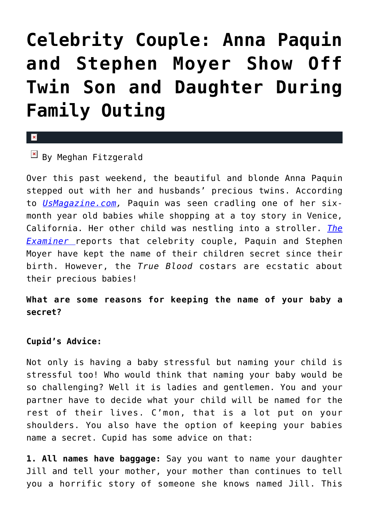# **[Celebrity Couple: Anna Paquin](https://cupidspulse.com/46164/anna-paquin-stephen-moyer-children-family-outing/) [and Stephen Moyer Show Off](https://cupidspulse.com/46164/anna-paquin-stephen-moyer-children-family-outing/) [Twin Son and Daughter During](https://cupidspulse.com/46164/anna-paquin-stephen-moyer-children-family-outing/) [Family Outing](https://cupidspulse.com/46164/anna-paquin-stephen-moyer-children-family-outing/)**

#### $\mathbf{x}$

### $\boxed{\times}$  By Meghan Fitzgerald

Over this past weekend, the beautiful and blonde Anna Paquin stepped out with her and husbands' precious twins. According to *[UsMagazine.com](http://www.usmagazine.com/celebrity-moms/news/anna-paquin-stephen-moyer-show-off-twin-son-and-daughter-during-family-outing-pictures-201343),* Paquin was seen cradling one of her sixmonth year old babies while shopping at a toy story in Venice, California. Her other child was nestling into a stroller. *[The](http://www.examiner.com/article/anna-paquin-s-twins-precious-faces-finally-seen) [Examiner](http://www.examiner.com/article/anna-paquin-s-twins-precious-faces-finally-seen)* reports that celebrity couple, Paquin and Stephen Moyer have kept the name of their children secret since their birth. However, the *True Blood* costars are ecstatic about their precious babies!

**What are some reasons for keeping the name of your baby a secret?**

#### **Cupid's Advice:**

Not only is having a baby stressful but naming your child is stressful too! Who would think that naming your baby would be so challenging? Well it is ladies and gentlemen. You and your partner have to decide what your child will be named for the rest of their lives. C'mon, that is a lot put on your shoulders. You also have the option of keeping your babies name a secret. Cupid has some advice on that:

**1. All names have baggage:** Say you want to name your daughter Jill and tell your mother, your mother than continues to tell you a horrific story of someone she knows named Jill. This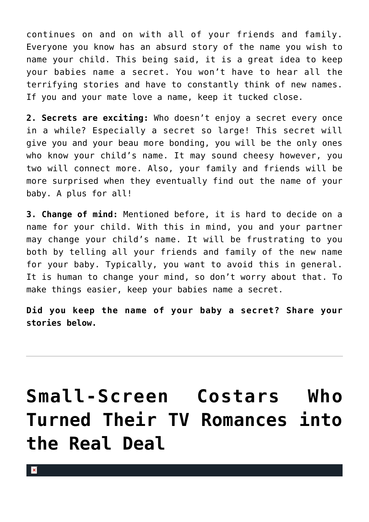continues on and on with all of your friends and family. Everyone you know has an absurd story of the name you wish to name your child. This being said, it is a great idea to keep your babies name a secret. You won't have to hear all the terrifying stories and have to constantly think of new names. If you and your mate love a name, keep it tucked close.

**2. Secrets are exciting:** Who doesn't enjoy a secret every once in a while? Especially a secret so large! This secret will give you and your beau more bonding, you will be the only ones who know your child's name. It may sound cheesy however, you two will connect more. Also, your family and friends will be more surprised when they eventually find out the name of your baby. A plus for all!

**3. Change of mind:** Mentioned before, it is hard to decide on a name for your child. With this in mind, you and your partner may change your child's name. It will be frustrating to you both by telling all your friends and family of the new name for your baby. Typically, you want to avoid this in general. It is human to change your mind, so don't worry about that. To make things easier, keep your babies name a secret.

**Did you keep the name of your baby a secret? Share your stories below.**

# **[Small-Screen Costars Who](https://cupidspulse.com/39615/small-screen-costars-real-tv-romance/) [Turned Their TV Romances into](https://cupidspulse.com/39615/small-screen-costars-real-tv-romance/) [the Real Deal](https://cupidspulse.com/39615/small-screen-costars-real-tv-romance/)**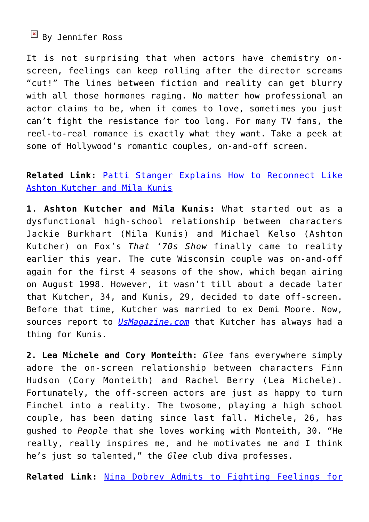$\boxed{\text{y}}$  By Jennifer Ross

It is not surprising that when actors have chemistry onscreen, feelings can keep rolling after the director screams "cut!" The lines between fiction and reality can get blurry with all those hormones raging. No matter how professional an actor claims to be, when it comes to love, sometimes you just can't fight the resistance for too long. For many TV fans, the reel-to-real romance is exactly what they want. Take a peek at some of Hollywood's romantic couples, on-and-off screen.

### **Related Link:** [Patti Stanger Explains How to Reconnect Like](http://cupidspulse.com/patti-stanger-explains-reconnect-like-ashton-kutcher-mila-kunis/) [Ashton Kutcher and Mila Kunis](http://cupidspulse.com/patti-stanger-explains-reconnect-like-ashton-kutcher-mila-kunis/)

**1. Ashton Kutcher and Mila Kunis:** What started out as a dysfunctional high-school relationship between characters Jackie Burkhart (Mila Kunis) and Michael Kelso (Ashton Kutcher) on Fox's *That '70s Show* finally came to reality earlier this year. The cute Wisconsin couple was on-and-off again for the first 4 seasons of the show, which began airing on August 1998. However, it wasn't till about a decade later that Kutcher, 34, and Kunis, 29, decided to date off-screen. Before that time, Kutcher was married to ex Demi Moore. Now, sources report to *[UsMagazine.com](http://www.usmagazine.com/celebrity-news/news/ashton-kutcher-has-always-had-a-thing-for-mila-kunis-2012299)* that Kutcher has always had a thing for Kunis.

**2. Lea Michele and Cory Monteith:** *Glee* fans everywhere simply adore the on-screen relationship between characters Finn Hudson (Cory Monteith) and Rachel Berry (Lea Michele). Fortunately, the off-screen actors are just as happy to turn Finchel into a reality. The twosome, playing a high school couple, has been dating since last fall. Michele, 26, has gushed to *People* that she loves working with Monteith, 30. "He really, really inspires me, and he motivates me and I think he's just so talented," the *Glee* club diva professes.

**Related Link:** [Nina Dobrev Admits to Fighting Feelings for](http://cupidspulse.com/nina-dobrev-fought-feelings-costar-ian-somerhalder-vampire-diaries/)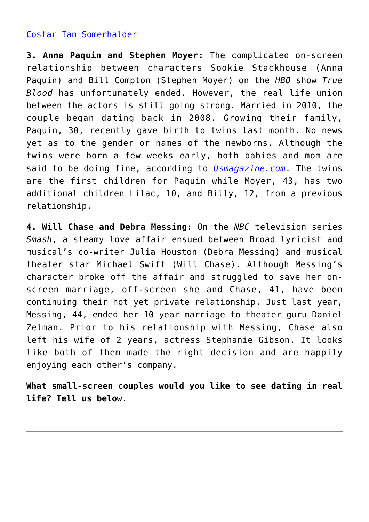#### [Costar Ian Somerhalder](http://cupidspulse.com/nina-dobrev-fought-feelings-costar-ian-somerhalder-vampire-diaries/)

**3. Anna Paquin and Stephen Moyer:** The complicated on-screen relationship between characters Sookie Stackhouse (Anna Paquin) and Bill Compton (Stephen Moyer) on the *HBO* show *True Blood* has unfortunately ended. However, the real life union between the actors is still going strong. Married in 2010, the couple began dating back in 2008. Growing their family, Paquin, 30, recently gave birth to twins last month. No news yet as to the gender or names of the newborns. Although the twins were born a few weeks early, both babies and mom are said to be doing fine, according to *[Usmagazine.com](http://www.usmagazine.com/celebrity-moms/news/anna-paquin-stephen-moyer-welcome-twins-2012119)*. The twins are the first children for Paquin while Moyer, 43, has two additional children Lilac, 10, and Billy, 12, from a previous relationship.

**4. Will Chase and Debra Messing:** On the *NBC* television series *Smash*, a steamy love affair ensued between Broad lyricist and musical's co-writer Julia Houston (Debra Messing) and musical theater star Michael Swift (Will Chase). Although Messing's character broke off the affair and struggled to save her onscreen marriage, off-screen she and Chase, 41, have been continuing their hot yet private relationship. Just last year, Messing, 44, ended her 10 year marriage to theater guru Daniel Zelman. Prior to his relationship with Messing, Chase also left his wife of 2 years, actress Stephanie Gibson. It looks like both of them made the right decision and are happily enjoying each other's company.

**What small-screen couples would you like to see dating in real life? Tell us below.**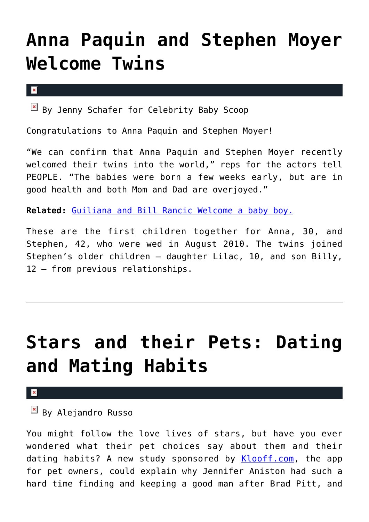### **[Anna Paquin and Stephen Moyer](https://cupidspulse.com/38021/anna-paquin-and-stephen-moyer-welcome-twins-2/) [Welcome Twins](https://cupidspulse.com/38021/anna-paquin-and-stephen-moyer-welcome-twins-2/)**

 $\mathbf x$ 

 $\boxed{\times}$  By Jenny Schafer for Celebrity Baby Scoop

Congratulations to Anna Paquin and Stephen Moyer!

"We can confirm that Anna Paquin and Stephen Moyer recently welcomed their twins into the world," reps for the actors tell PEOPLE. "The babies were born a few weeks early, but are in good health and both Mom and Dad are overjoyed."

**Related:** [Guiliana and Bill Rancic Welcome a baby boy.](http://cupidspulse.com/giuliana-bill-rancic-welcome-son/)

These are the first children together for Anna, 30, and Stephen, 42, who were wed in August 2010. The twins joined Stephen's older children – daughter Lilac, 10, and son Billy, 12 – from previous relationships.

### **[Stars and their Pets: Dating](https://cupidspulse.com/34121/stars-their-pets-dating-habits/) [and Mating Habits](https://cupidspulse.com/34121/stars-their-pets-dating-habits/)**

 $\pmb{\times}$ 

### By Alejandro Russo

You might follow the love lives of stars, but have you ever wondered what their pet choices say about them and their dating habits? A new study sponsored by [Klooff.com,](http://klooff.blogspot.com/2012/05/must-love-dogs-klooffcoms-top-5-breeds.html) the app for pet owners, could explain why Jennifer Aniston had such a hard time finding and keeping a good man after Brad Pitt, and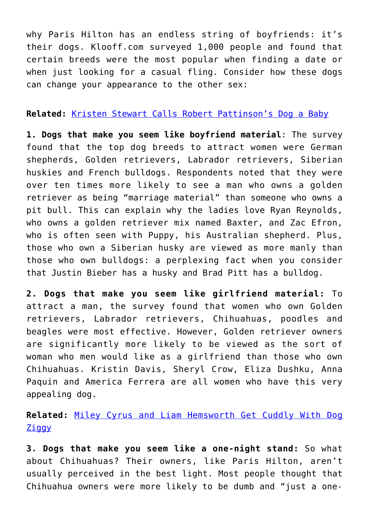why Paris Hilton has an endless string of boyfriends: it's their dogs. Klooff.com surveyed 1,000 people and found that certain breeds were the most popular when finding a date or when just looking for a casual fling. Consider how these dogs can change your appearance to the other sex:

#### **Related:** [Kristen Stewart Calls Robert Pattinson's Dog a Baby](http://cupidspulse.com/kristen-stewart-calls-robert-pattinsons-dog-a-baby/)

**1. Dogs that make you seem like boyfriend material**: The survey found that the top dog breeds to attract women were German shepherds, Golden retrievers, Labrador retrievers, Siberian huskies and French bulldogs. Respondents noted that they were over ten times more likely to see a man who owns a golden retriever as being "marriage material" than someone who owns a pit bull. This can explain why the ladies love Ryan Reynolds, who owns a golden retriever mix named Baxter, and Zac Efron, who is often seen with Puppy, his Australian shepherd. Plus, those who own a Siberian husky are viewed as more manly than those who own bulldogs: a perplexing fact when you consider that Justin Bieber has a husky and Brad Pitt has a bulldog.

**2. Dogs that make you seem like girlfriend material:** To attract a man, the survey found that women who own Golden retrievers, Labrador retrievers, Chihuahuas, poodles and beagles were most effective. However, Golden retriever owners are significantly more likely to be viewed as the sort of woman who men would like as a girlfriend than those who own Chihuahuas. Kristin Davis, Sheryl Crow, Eliza Dushku, Anna Paquin and America Ferrera are all women who have this very appealing dog.

### **Related:** [Miley Cyrus and Liam Hemsworth Get Cuddly With Dog](http://cupidspulse.com/miley-cyrus-liam-hemsworth-cuddle-dog/) **[Ziggy](http://cupidspulse.com/miley-cyrus-liam-hemsworth-cuddle-dog/)**

**3. Dogs that make you seem like a one-night stand:** So what about Chihuahuas? Their owners, like Paris Hilton, aren't usually perceived in the best light. Most people thought that Chihuahua owners were more likely to be dumb and "just a one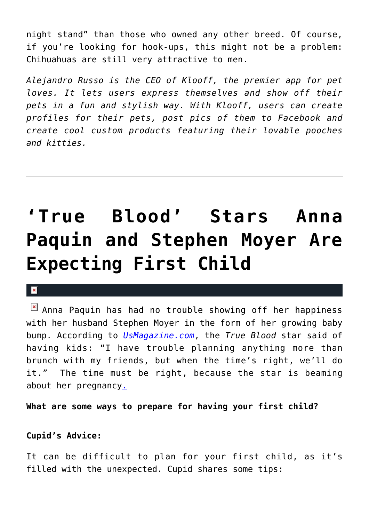night stand" than those who owned any other breed. Of course, if you're looking for hook-ups, this might not be a problem: Chihuahuas are still very attractive to men.

*Alejandro Russo is the CEO of Klooff, the premier app for pet loves. It lets users express themselves and show off their pets in a fun and stylish way. With Klooff, users can create profiles for their pets, post pics of them to Facebook and create cool custom products featuring their lovable pooches and kitties.* 

# **['True Blood' Stars Anna](https://cupidspulse.com/30963/true-blood-anna-paquin-stephen-moyer-expecting-first-child/) [Paquin and Stephen Moyer Are](https://cupidspulse.com/30963/true-blood-anna-paquin-stephen-moyer-expecting-first-child/) [Expecting First Child](https://cupidspulse.com/30963/true-blood-anna-paquin-stephen-moyer-expecting-first-child/)**

#### $\mathbf{x}$

 $\mathbb{E}$  Anna Paquin has had no trouble showing off her happiness with her husband Stephen Moyer in the form of her growing baby bump. According to *[UsMagazine.com](http://usmagazine.com)*, the *True Blood* star said of having kids: "I have trouble planning anything more than brunch with my friends, but when the time's right, we'll do it." The time must be right, because the star is beaming about her pregnancy[.](http://cupidspulse.com/sarah-michelle-gellar-pregnant-expecting-freddie-prinze-jr/)

**What are some ways to prepare for having your first child?**

#### **Cupid's Advice:**

It can be difficult to plan for your first child, as it's filled with the unexpected. Cupid shares some tips: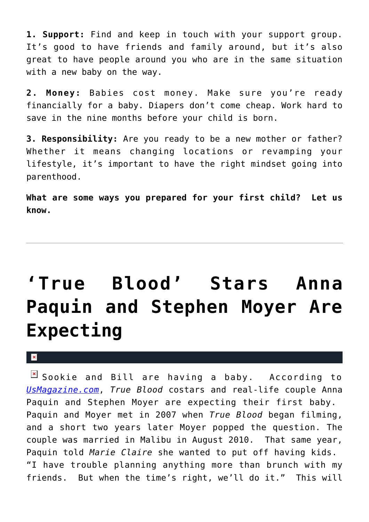**1. Support:** Find and keep in touch with your support group. It's good to have friends and family around, but it's also great to have people around you who are in the same situation with a new baby on the way.

**2. Money:** Babies cost money. Make sure you're ready financially for a baby. Diapers don't come cheap. Work hard to save in the nine months before your child is born.

**3. Responsibility:** Are you ready to be a new mother or father? Whether it means changing locations or revamping your lifestyle, it's important to have the right mindset going into parenthood.

**What are some ways you prepared for your first child? Let us know.**

# **['True Blood' Stars Anna](https://cupidspulse.com/30325/true-blood-stars-anna-paquin-stephen-moyer-expecting-child-pregnant/) [Paquin and Stephen Moyer Are](https://cupidspulse.com/30325/true-blood-stars-anna-paquin-stephen-moyer-expecting-child-pregnant/) [Expecting](https://cupidspulse.com/30325/true-blood-stars-anna-paquin-stephen-moyer-expecting-child-pregnant/)**

#### $\mathbf{R}$

 $\boxed{\times}$  Sookie and Bill are having a baby. According to *[UsMagazine.com](http://www.usmagazine.com/)*, *True Blood* costars and real-life couple Anna Paquin and Stephen Moyer are expecting their first baby. Paquin and Moyer met in 2007 when *True Blood* began filming, and a short two years later Moyer popped the question. The couple was married in Malibu in August 2010. That same year, Paquin told *Marie Claire* she wanted to put off having kids. "I have trouble planning anything more than brunch with my friends. But when the time's right, we'll do it." This will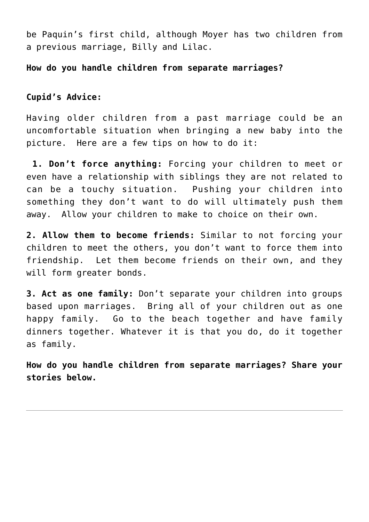be Paquin's first child, although Moyer has two children from a previous marriage, Billy and Lilac.

**How do you handle children from separate marriages?**

#### **Cupid's Advice:**

Having older children from a past marriage could be an uncomfortable situation when bringing a new baby into the picture. Here are a few tips on how to do it:

**1. Don't force anything:** Forcing your children to meet or even have a relationship with siblings they are not related to can be a touchy situation. Pushing your children into something they don't want to do will ultimately push them away. Allow your children to make to choice on their own.

**2. Allow them to become friends:** Similar to not forcing your children to meet the others, you don't want to force them into friendship. Let them become friends on their own, and they will form greater bonds.

**3. Act as one family:** Don't separate your children into groups based upon marriages. Bring all of your children out as one happy family. Go to the beach together and have family dinners together. Whatever it is that you do, do it together as family.

**How do you handle children from separate marriages? Share your stories below.**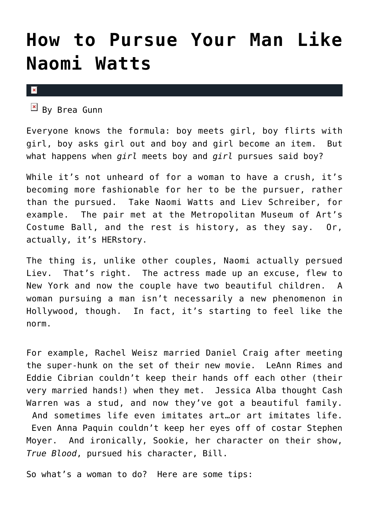### **[How to Pursue Your Man Like](https://cupidspulse.com/21646/how-to-pursue-man-naomi-watts-liev-schreiber-rachel-weisz-daniel-craig-leann-rimes-eddie-cibrian-jessica-alba-cash-warren-anna-paquin-stephen-moyer/) [Naomi Watts](https://cupidspulse.com/21646/how-to-pursue-man-naomi-watts-liev-schreiber-rachel-weisz-daniel-craig-leann-rimes-eddie-cibrian-jessica-alba-cash-warren-anna-paquin-stephen-moyer/)**

 $\mathbf x$ 

 $B$  By Brea Gunn

Everyone knows the formula: boy meets girl, boy flirts with girl, boy asks girl out and boy and girl become an item. But what happens when *girl* meets boy and *girl* pursues said boy?

While it's not unheard of for a woman to have a crush, it's becoming more fashionable for her to be the pursuer, rather than the pursued. Take Naomi Watts and Liev Schreiber, for example. The pair met at the Metropolitan Museum of Art's Costume Ball, and the rest is history, as they say. Or, actually, it's HERstory.

The thing is, unlike other couples, Naomi actually persued Liev. That's right. The actress made up an excuse, flew to New York and now the couple have two beautiful children. A woman pursuing a man isn't necessarily a new phenomenon in Hollywood, though. In fact, it's starting to feel like the norm.

For example, Rachel Weisz married Daniel Craig after meeting the super-hunk on the set of their new movie. LeAnn Rimes and Eddie Cibrian couldn't keep their hands off each other (their very married hands!) when they met. Jessica Alba thought Cash Warren was a stud, and now they've got a beautiful family. And sometimes life even imitates art…or art imitates life. Even Anna Paquin couldn't keep her eyes off of costar Stephen Moyer. And ironically, Sookie, her character on their show, *True Blood*, pursued his character, Bill.

So what's a woman to do? Here are some tips: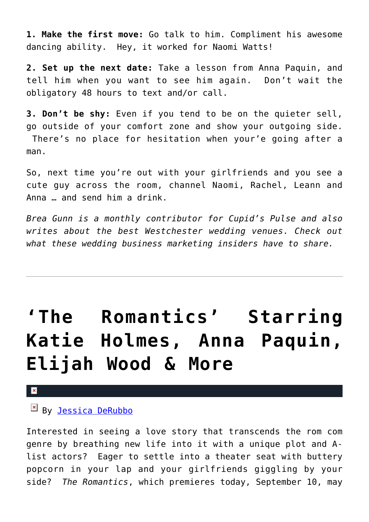**1. Make the first move:** Go talk to him. Compliment his awesome dancing ability. Hey, it worked for Naomi Watts!

**2. Set up the next date:** Take a lesson from Anna Paquin, and tell him when you want to see him again. Don't wait the obligatory 48 hours to text and/or call.

**3. Don't be shy:** Even if you tend to be on the quieter sell, go outside of your comfort zone and show your outgoing side. There's no place for hesitation when your'e going after a

man.

So, next time you're out with your girlfriends and you see a cute guy across the room, channel Naomi, Rachel, Leann and Anna … and send him a drink.

*Brea Gunn is a monthly contributor for Cupid's Pulse and also writes about the best Westchester wedding venues. Check out what these wedding business marketing insiders have to share.*

# **['The Romantics' Starring](https://cupidspulse.com/4209/movie-preview-the-romantics/) [Katie Holmes, Anna Paquin,](https://cupidspulse.com/4209/movie-preview-the-romantics/) [Elijah Wood & More](https://cupidspulse.com/4209/movie-preview-the-romantics/)**

×

### $By$  [Jessica DeRubbo](http://cupidspulse.com/104599/jessica-derubbo/)

Interested in seeing a love story that transcends the rom com genre by breathing new life into it with a unique plot and Alist actors? Eager to settle into a theater seat with buttery popcorn in your lap and your girlfriends giggling by your side? *The Romantics*, which premieres today, September 10, may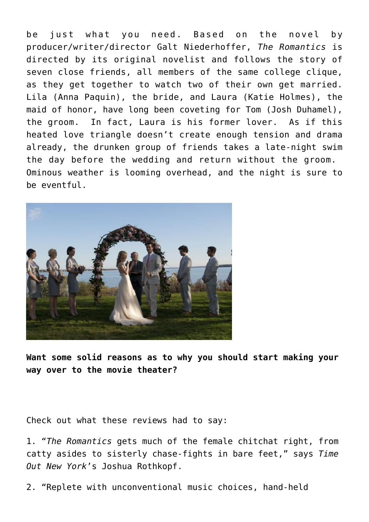be just what you need. Based on the novel by producer/writer/director Galt Niederhoffer, *The Romantics* is directed by its original novelist and follows the story of seven close friends, all members of the same college clique, as they get together to watch two of their own get married. Lila (Anna Paquin), the bride, and Laura (Katie Holmes), the maid of honor, have long been coveting for Tom (Josh Duhamel), the groom. In fact, Laura is his former lover. As if this heated love triangle doesn't create enough tension and drama already, the drunken group of friends takes a late-night swim the day before the wedding and return without the groom. Ominous weather is looming overhead, and the night is sure to be eventful.



**Want some solid reasons as to why you should start making your way over to the movie theater?**

Check out what these reviews had to say:

1. "*The Romantics* gets much of the female chitchat right, from catty asides to sisterly chase-fights in bare feet," says *Time Out New York*'s Joshua Rothkopf.

2. "Replete with unconventional music choices, hand-held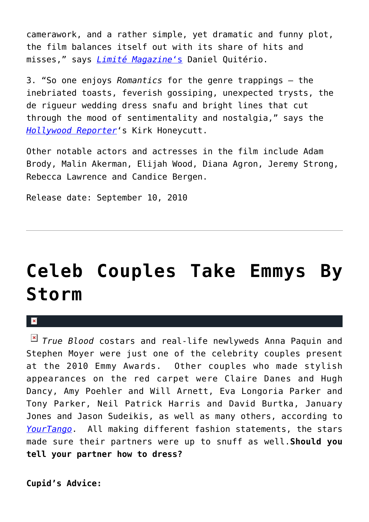camerawork, and a rather simple, yet dramatic and funny plot, the film balances itself out with its share of hits and misses," says *[Limité Magazine](http://www.limitemagazine.com/2010/09/review-the-romantics/)*['s](http://www.limitemagazine.com/2010/09/review-the-romantics/) Daniel Quitério.

3. "So one enjoys *Romantics* for the genre trappings — the inebriated toasts, feverish gossiping, unexpected trysts, the de rigueur wedding dress snafu and bright lines that cut through the mood of sentimentality and nostalgia," says the *[Hollywood Reporter](http://www.hollywoodreporter.com/hr/film-reviews/the-romantics-film-review-1004063146.story)*'s Kirk Honeycutt.

Other notable actors and actresses in the film include Adam Brody, Malin Akerman, Elijah Wood, Diana Agron, Jeremy Strong, Rebecca Lawrence and Candice Bergen.

Release date: September 10, 2010

# **[Celeb Couples Take Emmys By](https://cupidspulse.com/3965/celeb-couples-take-emmys-by-storm/) [Storm](https://cupidspulse.com/3965/celeb-couples-take-emmys-by-storm/)**

 $\mathbf{R}$ 

*True Blood* costars and real-life newlyweds Anna Paquin and Stephen Moyer were just one of the celebrity couples present at the 2010 Emmy Awards. Other couples who made stylish appearances on the red carpet were Claire Danes and Hugh Dancy, Amy Poehler and Will Arnett, Eva Longoria Parker and Tony Parker, Neil Patrick Harris and David Burtka, January Jones and Jason Sudeikis, as well as many others, according to *[YourTango](http://www.yourtango.com/201080408/9-best-emmy-night-couples)*. All making different fashion statements, the stars made sure their partners were up to snuff as well.**Should you tell your partner how to dress?**

**Cupid's Advice:**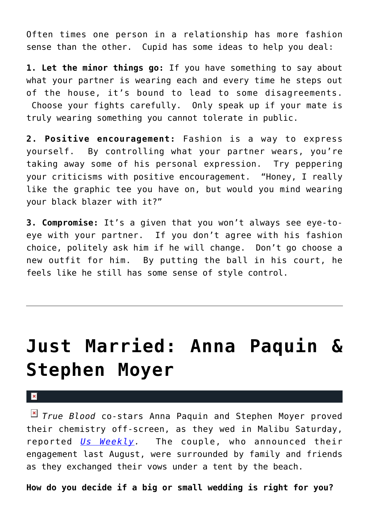Often times one person in a relationship has more fashion sense than the other. Cupid has some ideas to help you deal:

**1. Let the minor things go:** If you have something to say about what your partner is wearing each and every time he steps out of the house, it's bound to lead to some disagreements. Choose your fights carefully. Only speak up if your mate is truly wearing something you cannot tolerate in public.

**2. Positive encouragement:** Fashion is a way to express yourself. By controlling what your partner wears, you're taking away some of his personal expression. Try peppering your criticisms with positive encouragement. "Honey, I really like the graphic tee you have on, but would you mind wearing your black blazer with it?"

**3. Compromise:** It's a given that you won't always see eye-toeye with your partner. If you don't agree with his fashion choice, politely ask him if he will change. Don't go choose a new outfit for him. By putting the ball in his court, he feels like he still has some sense of style control.

### **[Just Married: Anna Paquin &](https://cupidspulse.com/3711/just-married-anna-paquin-stephen-moyer/) [Stephen Moyer](https://cupidspulse.com/3711/just-married-anna-paquin-stephen-moyer/)**

 $\pmb{\times}$ 

*True Blood* co-stars Anna Paquin and Stephen Moyer proved their chemistry off-screen, as they wed in Malibu Saturday, reported *[Us Weekly](http://www.usmagazine.com/healthylifestyle/news/anna-paquin-and-stephen-moyer-get-married-2010198).* The couple, who announced their engagement last August, were surrounded by family and friends as they exchanged their vows under a tent by the beach.

**How do you decide if a big or small wedding is right for you?**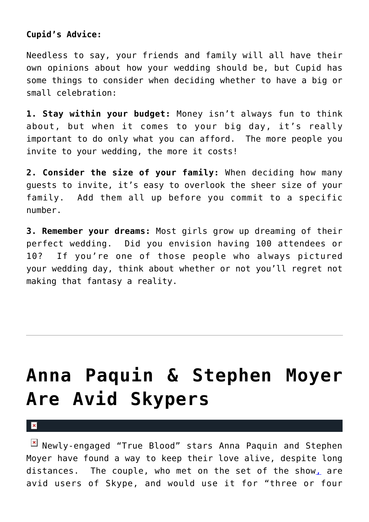#### **Cupid's Advice:**

Needless to say, your friends and family will all have their own opinions about how your wedding should be, but Cupid has some things to consider when deciding whether to have a big or small celebration:

**1. Stay within your budget:** Money isn't always fun to think about, but when it comes to your big day, it's really important to do only what you can afford. The more people you invite to your wedding, the more it costs!

**2. Consider the size of your family:** When deciding how many guests to invite, it's easy to overlook the sheer size of your family. Add them all up before you commit to a specific number.

**3. Remember your dreams:** Most girls grow up dreaming of their perfect wedding. Did you envision having 100 attendees or 10? If you're one of those people who always pictured your wedding day, think about whether or not you'll regret not making that fantasy a reality.

# **[Anna Paquin & Stephen Moyer](https://cupidspulse.com/882/anna-paquin-stephen-moyer-are-avid-skypers/) [Are Avid Skypers](https://cupidspulse.com/882/anna-paquin-stephen-moyer-are-avid-skypers/)**

 $\mathbf x$ 

Newly-engaged "True Blood" stars Anna Paquin and Stephen Moyer have found a way to keep their love alive, despite long distances. The couple, who met on the set of the show[,](http://truebloodnet.com/stephen-moyer-anna-paquin-true-blood-stars-dating-reallife/) are avid users of Skype, and would use it for "three or four